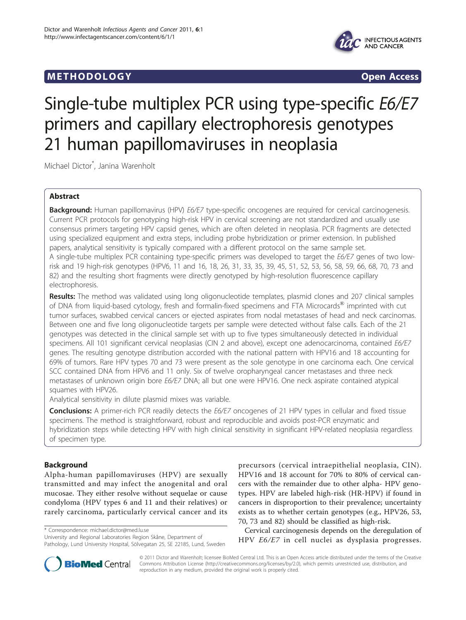# **METHODOLOGY Open Access**



# Single-tube multiplex PCR using type-specific E6/E7 primers and capillary electrophoresis genotypes 21 human papillomaviruses in neoplasia

Michael Dictor\* , Janina Warenholt

# Abstract

Background: Human papillomavirus (HPV) E6/E7 type-specific oncogenes are required for cervical carcinogenesis. Current PCR protocols for genotyping high-risk HPV in cervical screening are not standardized and usually use consensus primers targeting HPV capsid genes, which are often deleted in neoplasia. PCR fragments are detected using specialized equipment and extra steps, including probe hybridization or primer extension. In published papers, analytical sensitivity is typically compared with a different protocol on the same sample set. A single-tube multiplex PCR containing type-specific primers was developed to target the E6/E7 genes of two lowrisk and 19 high-risk genotypes (HPV6, 11 and 16, 18, 26, 31, 33, 35, 39, 45, 51, 52, 53, 56, 58, 59, 66, 68, 70, 73 and 82) and the resulting short fragments were directly genotyped by high-resolution fluorescence capillary electrophoresis.

Results: The method was validated using long oligonucleotide templates, plasmid clones and 207 clinical samples of DNA from liquid-based cytology, fresh and formalin-fixed specimens and FTA Microcards<sup>®</sup> imprinted with cut tumor surfaces, swabbed cervical cancers or ejected aspirates from nodal metastases of head and neck carcinomas. Between one and five long oligonucleotide targets per sample were detected without false calls. Each of the 21 genotypes was detected in the clinical sample set with up to five types simultaneously detected in individual specimens. All 101 significant cervical neoplasias (CIN 2 and above), except one adenocarcinoma, contained E6/E7 genes. The resulting genotype distribution accorded with the national pattern with HPV16 and 18 accounting for 69% of tumors. Rare HPV types 70 and 73 were present as the sole genotype in one carcinoma each. One cervical SCC contained DNA from HPV6 and 11 only. Six of twelve oropharyngeal cancer metastases and three neck metastases of unknown origin bore E6/E7 DNA; all but one were HPV16. One neck aspirate contained atypical squames with HPV26.

Analytical sensitivity in dilute plasmid mixes was variable.

**Conclusions:** A primer-rich PCR readily detects the E6/E7 oncogenes of 21 HPV types in cellular and fixed tissue specimens. The method is straightforward, robust and reproducible and avoids post-PCR enzymatic and hybridization steps while detecting HPV with high clinical sensitivity in significant HPV-related neoplasia regardless of specimen type.

# Background

Alpha-human papillomaviruses (HPV) are sexually transmitted and may infect the anogenital and oral mucosae. They either resolve without sequelae or cause condyloma (HPV types 6 and 11 and their relatives) or rarely carcinoma, particularly cervical cancer and its

\* Correspondence: [michael.dictor@med.lu.se](mailto:michael.dictor@med.lu.se)

University and Regional Laboratories Region Skåne, Department of Pathology, Lund University Hospital, Sölvegatan 25, SE 22185, Lund, Sweden precursors (cervical intraepithelial neoplasia, CIN). HPV16 and 18 account for 70% to 80% of cervical cancers with the remainder due to other alpha- HPV genotypes. HPV are labeled high-risk (HR-HPV) if found in cancers in disproportion to their prevalence; uncertainty exists as to whether certain genotypes (e.g., HPV26, 53, 70, 73 and 82) should be classified as high-risk.

Cervical carcinogenesis depends on the deregulation of HPV E6/E7 in cell nuclei as dysplasia progresses.



© 2011 Dictor and Warenholt; licensee BioMed Central Ltd. This is an Open Access article distributed under the terms of the Creative Commons Attribution License [\(http://creativecommons.org/licenses/by/2.0](http://creativecommons.org/licenses/by/2.0)), which permits unrestricted use, distribution, and reproduction in any medium, provided the original work is properly cited.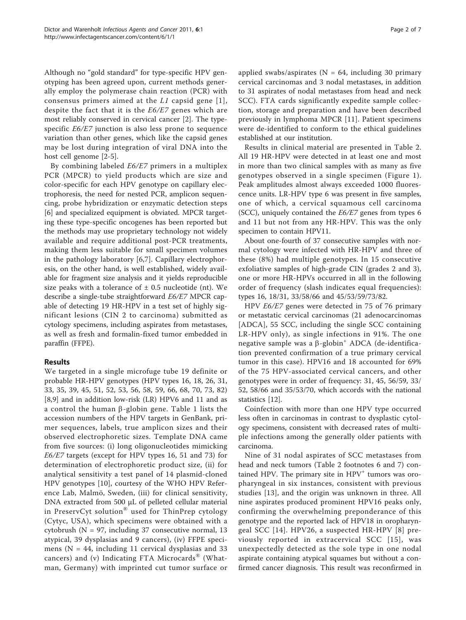Although no "gold standard" for type-specific HPV genotyping has been agreed upon, current methods generally employ the polymerase chain reaction (PCR) with consensus primers aimed at the  $L1$  capsid gene [\[1\]](#page-5-0), despite the fact that it is the E6/E7 genes which are most reliably conserved in cervical cancer [[2\]](#page-5-0). The typespecific E6/E7 junction is also less prone to sequence variation than other genes, which like the capsid genes may be lost during integration of viral DNA into the host cell genome [[2-](#page-5-0)[5](#page-6-0)].

By combining labeled E6/E7 primers in a multiplex PCR (MPCR) to yield products which are size and color-specific for each HPV genotype on capillary electrophoresis, the need for nested PCR, amplicon sequencing, probe hybridization or enzymatic detection steps [[6\]](#page-6-0) and specialized equipment is obviated. MPCR targeting these type-specific oncogenes has been reported but the methods may use proprietary technology not widely available and require additional post-PCR treatments, making them less suitable for small specimen volumes in the pathology laboratory [[6,7\]](#page-6-0). Capillary electrophoresis, on the other hand, is well established, widely available for fragment size analysis and it yields reproducible size peaks with a tolerance of  $\pm$  0.5 nucleotide (nt). We describe a single-tube straightforward E6/E7 MPCR capable of detecting 19 HR-HPV in a test set of highly significant lesions (CIN 2 to carcinoma) submitted as cytology specimens, including aspirates from metastases, as well as fresh and formalin-fixed tumor embedded in paraffin (FFPE).

# Results

We targeted in a single microfuge tube 19 definite or probable HR-HPV genotypes (HPV types 16, 18, 26, 31, 33, 35, 39, 45, 51, 52, 53, 56, 58, 59, 66, 68, 70, 73, 82) [[8,9\]](#page-6-0) and in addition low-risk (LR) HPV6 and 11 and as a control the human  $\beta$ -globin gene. Table [1](#page-2-0) lists the accession numbers of the HPV targets in GenBank, primer sequences, labels, true amplicon sizes and their observed electrophoretic sizes. Template DNA came from five sources: (i) long oligonucleotides mimicking E6/E7 targets (except for HPV types 16, 51 and 73) for determination of electrophoretic product size, (ii) for analytical sensitivity a test panel of 14 plasmid-cloned HPV genotypes [[10](#page-6-0)], courtesy of the WHO HPV Reference Lab, Malmö, Sweden, (iii) for clinical sensitivity, DNA extracted from 500 μL of pelleted cellular material in PreservCyt solution® used for ThinPrep cytology (Cytyc, USA), which specimens were obtained with a cytobrush ( $N = 97$ , including 37 consecutive normal, 13 atypical, 39 dysplasias and 9 cancers), (iv) FFPE specimens ( $N = 44$ , including 11 cervical dysplasias and 33 cancers) and (v) Indicating FTA Microcards® (Whatman, Germany) with imprinted cut tumor surface or applied swabs/aspirates ( $N = 64$ , including 30 primary cervical carcinomas and 3 nodal metastases, in addition to 31 aspirates of nodal metastases from head and neck SCC). FTA cards significantly expedite sample collection, storage and preparation and have been described previously in lymphoma MPCR [[11](#page-6-0)]. Patient specimens were de-identified to conform to the ethical guidelines established at our institution.

Results in clinical material are presented in Table [2](#page-3-0). All 19 HR-HPV were detected in at least one and most in more than two clinical samples with as many as five genotypes observed in a single specimen (Figure [1\)](#page-4-0). Peak amplitudes almost always exceeded 1000 fluorescence units. LR-HPV type 6 was present in five samples, one of which, a cervical squamous cell carcinoma (SCC), uniquely contained the E6/E7 genes from types 6 and 11 but not from any HR-HPV. This was the only specimen to contain HPV11.

About one-fourth of 37 consecutive samples with normal cytology were infected with HR-HPV and three of these (8%) had multiple genotypes. In 15 consecutive exfoliative samples of high-grade CIN (grades 2 and 3), one or more HR-HPVs occurred in all in the following order of frequency (slash indicates equal frequencies): types 16, 18/31, 33/58/66 and 45/53/59/73/82.

HPV E6/E7 genes were detected in 75 of 76 primary or metastatic cervical carcinomas (21 adenocarcinomas [ADCA], 55 SCC, including the single SCC containing LR-HPV only), as single infections in 91%. The one negative sample was a  $\beta$ -globin<sup>+</sup> ADCA (de-identification prevented confirmation of a true primary cervical tumor in this case). HPV16 and 18 accounted for 69% of the 75 HPV-associated cervical cancers, and other genotypes were in order of frequency: 31, 45, 56/59, 33/ 52, 58/66 and 35/53/70, which accords with the national statistics [[12](#page-6-0)].

Coinfection with more than one HPV type occurred less often in carcinomas in contrast to dysplastic cytology specimens, consistent with decreased rates of multiple infections among the generally older patients with carcinoma.

Nine of 31 nodal aspirates of SCC metastases from head and neck tumors (Table [2](#page-3-0) footnotes 6 and 7) contained HPV. The primary site in HPV<sup>+</sup> tumors was oropharyngeal in six instances, consistent with previous studies [[13](#page-6-0)], and the origin was unknown in three. All nine aspirates produced prominent HPV16 peaks only, confirming the overwhelming preponderance of this genotype and the reported lack of HPV18 in oropharyngeal SCC [[14](#page-6-0)]. HPV26, a suspected HR-HPV [[8\]](#page-6-0) previously reported in extracervical SCC [[15](#page-6-0)], was unexpectedly detected as the sole type in one nodal aspirate containing atypical squames but without a confirmed cancer diagnosis. This result was reconfirmed in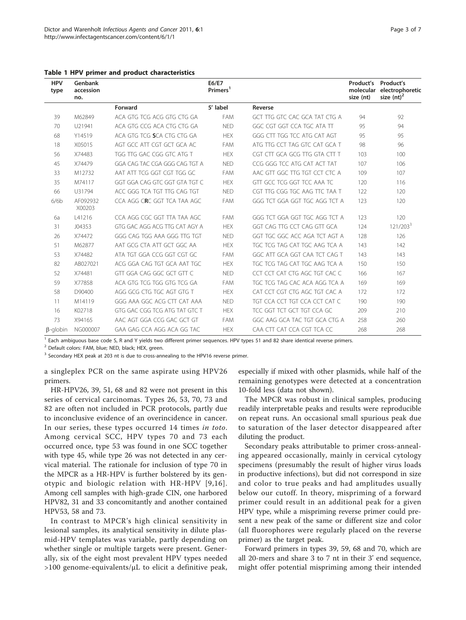| <b>HPV</b><br>type | Genbank<br>accession<br>no. |                               | E6/E7<br>Primers <sup>1</sup> |                               | Product's Product's<br>size (nt) | molecular electrophoretic<br>size $(nt)^2$ |
|--------------------|-----------------------------|-------------------------------|-------------------------------|-------------------------------|----------------------------------|--------------------------------------------|
|                    |                             | Forward                       | 5' label                      | Reverse                       |                                  |                                            |
| 39                 | M62849                      | ACA GTG TCG ACG GTG CTG GA    | <b>FAM</b>                    | GCT TTG GTC CAC GCA TAT CTG A | 94                               | 92                                         |
| 70                 | U21941                      | ACA GTG CCG ACA CTG CTG GA    | <b>NED</b>                    | GGC CGT GGT CCA TGC ATA TT    | 95                               | 94                                         |
| 68                 | Y14519                      | ACA GTG TCG SCA CTG CTG GA    | <b>HEX</b>                    | GGG CTT TGG TCC ATG CAT AGT   | 95                               | 95                                         |
| 18                 | X05015                      | AGT GCC ATT CGT GCT GCA AC    | <b>FAM</b>                    | ATG TTG CCT TAG GTC CAT GCA T | 98                               | 96                                         |
| 56                 | X74483                      | TGG TTG GAC CGG GTC ATG T     | <b>HEX</b>                    | CGT CTT GCA GCG TTG GTA CTT T | 103                              | 100                                        |
| 45                 | X74479                      | GGA CAG TAC CGA GGG CAG TGT A | <b>NED</b>                    | CCG GGG TCC ATG CAT ACT TAT   | 107                              | 106                                        |
| 33                 | M12732                      | AAT ATT TCG GGT CGT TGG GC    | FAM                           | AAC GTT GGC TTG TGT CCT CTC A | 109                              | 107                                        |
| 35                 | M74117                      | GGT GGA CAG GTC GGT GTA TGT C | <b>HEX</b>                    | GTT GCC TCG GGT TCC AAA TC    | 120                              | 116                                        |
| 66                 | U31794                      | ACC GGG TCA TGT TTG CAG TGT   | <b>NED</b>                    | CGT TTG CGG TGC AAG TTC TAA T | 122                              | 120                                        |
| 6/6b               | AF092932<br>X00203          | CCA AGG CRC GGT TCA TAA AGC   | FAM                           | GGG TCT GGA GGT TGC AGG TCT A | 123                              | 120                                        |
| 6а                 | L41216                      | CCA AGG CGC GGT TTA TAA AGC   | <b>FAM</b>                    | GGG TCT GGA GGT TGC AGG TCT A | 123                              | 120                                        |
| 31                 | J04353                      | GTG GAC AGG ACG TTG CAT AGY A | <b>HEX</b>                    | GGT CAG TTG CCT CAG GTT GCA   | 124                              | 121/203 <sup>3</sup>                       |
| 26                 | X74472                      | GGG CAG TGG AAA GGG TTG TGT   | <b>NED</b>                    | GGT TGC GGC ACC AGA TCT AGT A | 128                              | 126                                        |
| 51                 | M62877                      | AAT GCG CTA ATT GCT GGC AA    | <b>HEX</b>                    | TGC TCG TAG CAT TGC AAG TCA A | 143                              | 142                                        |
| 53                 | X74482                      | ATA TGT GGA CCG GGT CGT GC    | <b>FAM</b>                    | GGC ATT GCA GGT CAA TCT CAG T | 143                              | 143                                        |
| 82                 | AB027021                    | ACG GGA CAG TGT GCA AAT TGC   | <b>HEX</b>                    | TGC TCG TAG CAT TGC AAG TCA A | 150                              | 150                                        |
| 52                 | X74481                      | GTT GGA CAG GGC GCT GTT C     | <b>NED</b>                    | CCT CCT CAT CTG AGC TGT CAC C | 166                              | 167                                        |
| 59                 | X77858                      | ACA GTG TCG TGG GTG TCG GA    | FAM                           | TGC TCG TAG CAC ACA AGG TCA A | 169                              | 169                                        |
| 58                 | D90400                      | AGG GCG CTG TGC AGT GTG T     | <b>HEX</b>                    | CAT CCT CGT CTG AGC TGT CAC A | 172                              | 172                                        |
| 11                 | M14119                      | GGG AAA GGC ACG CTT CAT AAA   | <b>NED</b>                    | TGT CCA CCT TGT CCA CCT CAT C | 190                              | 190                                        |
| 16                 | K02718                      | GTG GAC CGG TCG ATG TAT GTC T | <b>HEX</b>                    | TCC GGT TCT GCT TGT CCA GC    | 209                              | 210                                        |
| 73                 | X94165                      | AAC AGT GGA CCG GAC GCT GT    | <b>FAM</b>                    | GGC AAG GCA TAC TGT GCA CTG A | 258                              | 260                                        |
| $\beta$ -globin    | NG000007                    | GAA GAG CCA AGG ACA GG TAC    | <b>HEX</b>                    | CAA CTT CAT CCA CGT TCA CC    | 268                              | 268                                        |

<span id="page-2-0"></span>Table 1 HPV primer and product characteristics

 $<sup>1</sup>$  Each ambiguous base code S, R and Y yields two different primer sequences. HPV types 51 and 82 share identical reverse primers.</sup>

<sup>2</sup> Default colors: FAM, blue; NED, black; HEX, green.

<sup>3</sup> Secondary HEX peak at 203 nt is due to cross-annealing to the HPV16 reverse primer.

a singleplex PCR on the same aspirate using HPV26 primers.

HR-HPV26, 39, 51, 68 and 82 were not present in this series of cervical carcinomas. Types 26, 53, 70, 73 and 82 are often not included in PCR protocols, partly due to inconclusive evidence of an overincidence in cancer. In our series, these types occurred 14 times in toto. Among cervical SCC, HPV types 70 and 73 each occurred once, type 53 was found in one SCC together with type 45, while type 26 was not detected in any cervical material. The rationale for inclusion of type 70 in the MPCR as a HR-HPV is further bolstered by its genotypic and biologic relation with HR-HPV [[9](#page-6-0),[16\]](#page-6-0). Among cell samples with high-grade CIN, one harbored HPV82, 31 and 33 concomitantly and another contained HPV53, 58 and 73.

In contrast to MPCR's high clinical sensitivity in lesional samples, its analytical sensitivity in dilute plasmid-HPV templates was variable, partly depending on whether single or multiple targets were present. Generally, six of the eight most prevalent HPV types needed >100 genome-equivalents/μL to elicit a definitive peak, especially if mixed with other plasmids, while half of the remaining genotypes were detected at a concentration 10-fold less (data not shown).

The MPCR was robust in clinical samples, producing readily interpretable peaks and results were reproducible on repeat runs. An occasional small spurious peak due to saturation of the laser detector disappeared after diluting the product.

Secondary peaks attributable to primer cross-annealing appeared occasionally, mainly in cervical cytology specimens (presumably the result of higher virus loads in productive infections), but did not correspond in size and color to true peaks and had amplitudes usually below our cutoff. In theory, mispriming of a forward primer could result in an additional peak for a given HPV type, while a mispriming reverse primer could present a new peak of the same or different size and color (all fluorophores were regularly placed on the reverse primer) as the target peak.

Forward primers in types 39, 59, 68 and 70, which are all 20-mers and share 3 to 7 nt in their 3' end sequence, might offer potential mispriming among their intended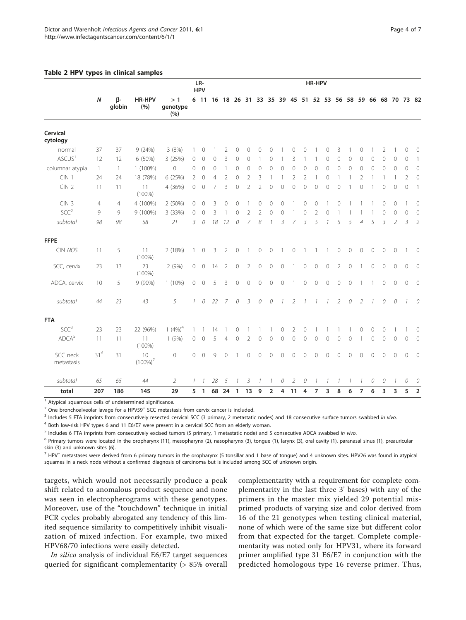#### <span id="page-3-0"></span>Table 2 HPV types in clinical samples

|                        |                  |                     |                   | LR-<br><b>HPV</b>     |               |                |              |                | HR-HPV         |                |                |                |                |                |                          |                |                |                          |                |                |                |                |                |                                                          |                |
|------------------------|------------------|---------------------|-------------------|-----------------------|---------------|----------------|--------------|----------------|----------------|----------------|----------------|----------------|----------------|----------------|--------------------------|----------------|----------------|--------------------------|----------------|----------------|----------------|----------------|----------------|----------------------------------------------------------|----------------|
|                        | $\boldsymbol{N}$ | $\beta$ -<br>globin | HR-HPV<br>(%)     | >1<br>genotype<br>(%) |               | 6 11           |              |                |                |                |                |                |                |                |                          |                |                |                          |                |                |                |                |                | 16 18 26 31 33 35 39 45 51 52 53 56 58 59 66 68 70 73 82 |                |
| Cervical<br>cytology   |                  |                     |                   |                       |               |                |              |                |                |                |                |                |                |                |                          |                |                |                          |                |                |                |                |                |                                                          |                |
| normal                 | 37               | 37                  | 9(24%)            | 3(8%)                 | 1             | $\mathbf{0}$   |              | 2              | 0              | $\circ$        | $\mathbf{0}$   | $\Omega$       |                | 0              | $\mathbf{0}$             |                | 0              | 3                        |                | $\mathbf 0$    |                | 2              | $\mathbf{1}$   | 0                                                        | $\circ$        |
| ASCUS <sup>1</sup>     | 12               | 12                  | 6 (50%)           | 3 (25%)               | $\circ$       | $\circ$        | $\mathbf{0}$ | 3              | $\circ$        | $\mathbf{0}$   |                | $\Omega$       |                | 3              | 1                        |                | $\circ$        | $\circ$                  | 0              | $\mathbf{0}$   | $\Omega$       | $\overline{0}$ | $\mathbf{0}$   | 0                                                        | $\overline{1}$ |
| columnar atypia        | $\mathbf{1}$     | $\mathbf{1}$        | $1(100\%)$        | 0                     | $\circ$       | $\circ$        | $\mathbf{0}$ | 1              | $\circ$        | 0              | $\circ$        | $\Omega$       | $\circ$        | 0              | 0                        | $\mathbf{0}$   | $\mathbf{0}$   | $\circ$                  | $\mathbf{0}$   | 0              | $\Omega$       | $\overline{0}$ | $\mathbf{0}$   | $\mathbf 0$                                              | $\circ$        |
| CIN <sub>1</sub>       | 24               | 24                  | 18 (78%)          | 6 (25%)               | 2             | $\mathbf{0}$   | 4            | $\overline{2}$ | 0              | 2              | 3              |                |                | 2              | $\overline{2}$           |                | $\mathbf{0}$   |                          |                | $\overline{2}$ |                |                | 1              | $\overline{2}$                                           | $\mathbf{0}$   |
| CIN2                   | 11               | 11                  | 11<br>$(100\%)$   | 4 (36%)               | $\circ$       | $\mathbf{0}$   | 7            | 3              | $\mathbf 0$    | $\overline{2}$ | $\overline{2}$ | $\mathbf{0}$   | $\circ$        | $\Omega$       | 0                        | 0              | $\circ$        | 0                        |                | $\mathbf 0$    | 1              | $\overline{0}$ | $\mathbf{0}$   | $\mathbf 0$                                              | $\overline{1}$ |
| CIN <sub>3</sub>       | 4                | 4                   | 4 (100%)          | 2 (50%)               | 0             | $\mathbf{0}$   | 3            | 0              | 0              |                | 0              | $\Omega$       | 0              |                | 0                        | $\mathbf{0}$   |                | 0                        |                |                |                | 0              | $\mathbf{0}$   | 1                                                        | $\circ$        |
| SCC <sup>2</sup>       | 9                | 9                   | 9 (100%)          | 3 (33%)               | $\mathbf{0}$  | $\mathbf{0}$   | 3            |                | $\mathbf{0}$   | 2              | 2              | $\mathbf{0}$   | $\mathbf 0$    |                | 0                        | $\overline{2}$ | $\mathbf{0}$   |                          |                |                |                | $\overline{0}$ | $\mathbf{0}$   | $\overline{0}$                                           | $\circ$        |
| subtotal               | 98               | 98                  | 58                | 21                    | 3             | 0              | 18           | 12             | 0              | 7              | 8              | $\mathcal I$   | 3              | 7              | 3                        | 5              | 1              | 5                        | 5              | $\overline{4}$ | 5              | 3              | $\overline{2}$ | 3                                                        | $\overline{2}$ |
| <b>FFPE</b>            |                  |                     |                   |                       |               |                |              |                |                |                |                |                |                |                |                          |                |                |                          |                |                |                |                |                |                                                          |                |
| CIN NOS                | 11               | 5                   | 11<br>$(100\%)$   | 2 (18%)               | $\mathbf{1}$  | 0              | 3            | 2              | $\mathbf 0$    |                | $\mathbf 0$    | $\circ$        | $\overline{1}$ | $\circledcirc$ | $\mathbf{1}$             | $\overline{1}$ |                | $\mathbf 0$              | $\circ$        | $\mathbf 0$    | $\circ$        | $\circ$        | $\circ$        | 1                                                        | $\overline{0}$ |
| SCC, cervix            | 23               | 13                  | 23<br>$(100\%)$   | 2(9%)                 | 0             | $\circ$        | 14           | $\overline{2}$ | $\circ$        | $\overline{2}$ | $\circ$        | $\mathbf 0$    | $\circ$        | 1              | $\circ$                  | $\mathbf{0}$   | $\circ$        | $\overline{2}$           | $\circ$        |                | $\overline{0}$ | $\overline{0}$ | $\circ$        | $\mathbf 0$                                              | $\overline{0}$ |
| ADCA, cervix           | 10               | 5                   | 9 (90%)           | $1(10\%)$             | $\circ$       | $\mathbf{0}$   | 5            | 3              | $\circ$        | $\overline{0}$ | $\circ$        | $\circ$        | $\circ$        | $\overline{1}$ | $\overline{O}$           | $\overline{O}$ | $\circ$        | $\circ$                  | $\overline{0}$ | $\mathbf{1}$   |                | $\overline{0}$ | $\overline{0}$ | $\mathbf 0$                                              | $\overline{0}$ |
| subtotal               | 44               | 23                  | 43                | 5                     | $\mathcal{I}$ | ${\cal O}$     | 22           | $\overline{7}$ | 0              | 3              | 0              | 0              | $\overline{1}$ | $\overline{2}$ | $\overline{\phantom{a}}$ | $\mathcal{I}$  | $\mathcal{I}$  | $\overline{2}$           | 0              | $\overline{2}$ | $\mathcal{I}$  | 0              | 0              | $\mathcal{I}$                                            | $\theta$       |
| <b>FTA</b>             |                  |                     |                   |                       |               |                |              |                |                |                |                |                |                |                |                          |                |                |                          |                |                |                |                |                |                                                          |                |
| SCC <sup>3</sup>       | 23               | 23                  | 22 (96%)          | 1 $(4\%)^4$           | 1             | 1              | 14           |                | 0              |                |                |                | 0              | 2              | 0                        |                |                |                          |                | 0              | 0              | 0              |                | 1                                                        | $\circ$        |
| $\mathsf{ADCA}^5$      | 11               | 11                  | 11<br>$(100\%)$   | 1(9%)                 | $\circ$       | $\mathbf{0}$   | 5            | $\overline{4}$ | $\mathbf 0$    | 2              | $\mathbf{0}$   | $\Omega$       | $\overline{0}$ | $\mathbf{0}$   | $\mathbf{0}$             | $\Omega$       | $\mathbf{0}$   | $\mathbf 0$              | $\overline{0}$ |                | $\Omega$       | $\overline{0}$ | $\mathbf{0}$   | $\Omega$                                                 | $\circ$        |
| SCC neck<br>metastasis | $31^6$           | 31                  | 10<br>$(100\%)^7$ | $\overline{0}$        | 0             | $\mathbf{0}$   | 9            | $\mathbf 0$    |                | 0              | $\circ$        | $\overline{0}$ | $\overline{0}$ | $\overline{0}$ | $\mathbf{0}$             | $\overline{O}$ | $\overline{0}$ | $\overline{O}$           | $\mathbf{0}$   | $\mathbf 0$    | $\mathbf{0}$   | $\mathbf 0$    | $\overline{0}$ | $\mathbf 0$                                              | $\circ$        |
| subtotal               | 65               | 65                  | $44$              | 2                     | 1             |                | 28           | 5              |                | 3              |                |                | 0              | 2              | 0                        |                |                | $\overline{\phantom{a}}$ | $\mathcal I$   |                | 0              | 0              |                | 0                                                        | 0              |
| total                  | 207              | 186                 | 145               | 29                    | 5             | $\overline{1}$ |              | 68 24          | $\overline{1}$ | 13             | 9              | $\overline{2}$ | $\overline{4}$ | 11             | $\overline{4}$           | $\overline{7}$ | 3              | 8                        | 6              | $\overline{7}$ | 6              | 3              | 3              | 5                                                        | $\overline{2}$ |

<sup>1</sup> Atypical squamous cells of undetermined significance.

 $2$  One bronchoalveolar lavage for a HPV59<sup>+</sup> SCC metastasis from cervix cancer is included.

<sup>3</sup> Includes 5 FTA imprints from consecutively resected cervical SCC (3 primary, 2 metastatic nodes) and 18 consecutive surface tumors swabbed in vivo.

<sup>4</sup> Both low-risk HPV types 6 and 11 E6/E7 were present in a cervical SCC from an elderly woman.

<sup>5</sup> Includes 6 FTA imprints from consecutively excised tumors (5 primary, 1 metastatic node) and 5 consecutive ADCA swabbed in vivo.

<sup>6</sup> Primary tumors were located in the oropharynx (11), mesopharynx (2), nasopharynx (3), tongue (1), larynx (3), oral cavity (1), paranasal sinus (1), preauricular skin (3) and unknown sites (6).

 $<sup>7</sup>$  HPV<sup>+</sup> metastases were derived from 6 primary tumors in the oropharynx (5 tonsillar and 1 base of tongue) and 4 unknown sites. HPV26 was found in atypical</sup> squames in a neck node without a confirmed diagnosis of carcinoma but is included among SCC of unknown origin.

targets, which would not necessarily produce a peak shift related to anomalous product sequence and none was seen in electropherograms with these genotypes. Moreover, use of the "touchdown" technique in initial PCR cycles probably abrogated any tendency of this limited sequence similarity to competitively inhibit visualization of mixed infection. For example, two mixed HPV68/70 infections were easily detected.

In silico analysis of individual E6/E7 target sequences queried for significant complementarity (> 85% overall complementarity with a requirement for complete complementarity in the last three 3' bases) with any of the primers in the master mix yielded 29 potential misprimed products of varying size and color derived from 16 of the 21 genotypes when testing clinical material, none of which were of the same size but different color from that expected for the target. Complete complementarity was noted only for HPV31, where its forward primer amplified type 31 E6/E7 in conjunction with the predicted homologous type 16 reverse primer. Thus,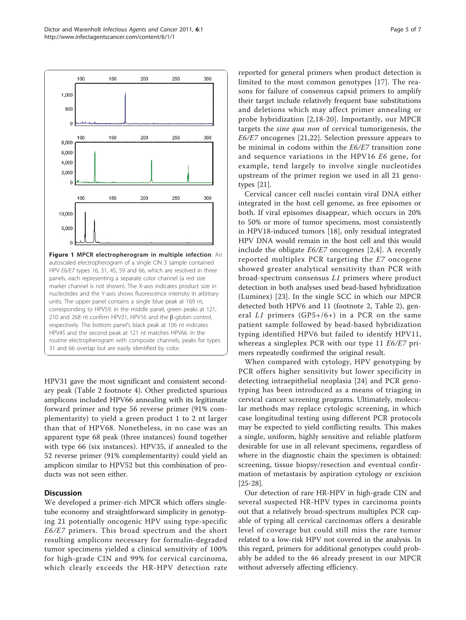<span id="page-4-0"></span>

nucleotides and the Y-axis shows fluorescence intensity in arbitrary units. The upper panel contains a single blue peak at 169 nt, corresponding to HPV59. In the middle panel, green peaks at 121, 210 and 268 nt confirm HPV31, HPV16 and the  $\beta$ -globin control, respectively. The bottom panel's black peak at 106 nt indicates HPV45 and the second peak at 121 nt matches HPV66. In the routine electropherogram with composite channels, peaks for types 31 and 66 overlap but are easily identified by color.

HPV31 gave the most significant and consistent secondary peak (Table [2](#page-3-0) footnote 4). Other predicted spurious amplicons included HPV66 annealing with its legitimate forward primer and type 56 reverse primer (91% complementarity) to yield a green product 1 to 2 nt larger than that of HPV68. Nonetheless, in no case was an apparent type 68 peak (three instances) found together with type 66 (six instances). HPV35, if annealed to the 52 reverse primer (91% complementarity) could yield an amplicon similar to HPV52 but this combination of products was not seen either.

# **Discussion**

We developed a primer-rich MPCR which offers singletube economy and straightforward simplicity in genotyping 21 potentially oncogenic HPV using type-specific E6/E7 primers. This broad spectrum and the short resulting amplicons necessary for formalin-degraded tumor specimens yielded a clinical sensitivity of 100% for high-grade CIN and 99% for cervical carcinoma, which clearly exceeds the HR-HPV detection rate reported for general primers when product detection is limited to the most common genotypes [[17](#page-6-0)]. The reasons for failure of consensus capsid primers to amplify their target include relatively frequent base substitutions and deletions which may affect primer annealing or probe hybridization [[2,](#page-5-0)[18](#page-6-0)-[20](#page-6-0)]. Importantly, our MPCR targets the sine qua non of cervical tumorigenesis, the E6/E7 oncogenes [[21,22\]](#page-6-0). Selection pressure appears to be minimal in codons within the E6/E7 transition zone and sequence variations in the HPV16 E6 gene, for example, tend largely to involve single nucleotides upstream of the primer region we used in all 21 genotypes [[21\]](#page-6-0).

Cervical cancer cell nuclei contain viral DNA either integrated in the host cell genome, as free episomes or both. If viral episomes disappear, which occurs in 20% to 50% or more of tumor specimens, most consistently in HPV18-induced tumors [[18\]](#page-6-0), only residual integrated HPV DNA would remain in the host cell and this would include the obligate  $E6/E7$  oncogenes [[2,](#page-5-0)[4](#page-6-0)]. A recently reported multiplex PCR targeting the E7 oncogene showed greater analytical sensitivity than PCR with broad-spectrum consensus L1 primers where product detection in both analyses used bead-based hybridization (Luminex) [[23](#page-6-0)]. In the single SCC in which our MPCR detected both HPV6 and 11 (footnote 2, Table [2](#page-3-0)), general L1 primers  $(GP5+/6+)$  in a PCR on the same patient sample followed by bead-based hybridization typing identified HPV6 but failed to identify HPV11, whereas a singleplex PCR with our type 11 E6/E7 primers repeatedly confirmed the original result.

When compared with cytology, HPV genotyping by PCR offers higher sensitivity but lower specificity in detecting intraepithelial neoplasia [\[24\]](#page-6-0) and PCR genotyping has been introduced as a means of triaging in cervical cancer screening programs. Ultimately, molecular methods may replace cytologic screening, in which case longitudinal testing using different PCR protocols may be expected to yield conflicting results. This makes a single, uniform, highly sensitive and reliable platform desirable for use in all relevant specimens, regardless of where in the diagnostic chain the specimen is obtained: screening, tissue biopsy/resection and eventual confirmation of metastasis by aspiration cytology or excision [[25-28\]](#page-6-0).

Our detection of rare HR-HPV in high-grade CIN and several suspected HR-HPV types in carcinoma points out that a relatively broad-spectrum multiplex PCR capable of typing all cervical carcinomas offers a desirable level of coverage but could still miss the rare tumor related to a low-risk HPV not covered in the analysis. In this regard, primers for additional genotypes could probably be added to the 46 already present in our MPCR without adversely affecting efficiency.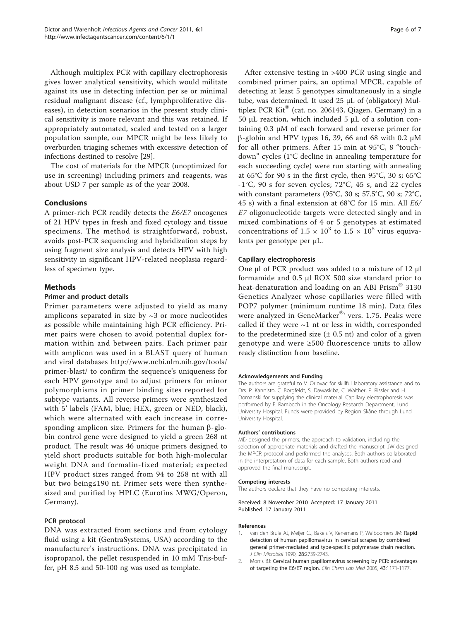<span id="page-5-0"></span>Although multiplex PCR with capillary electrophoresis gives lower analytical sensitivity, which would militate against its use in detecting infection per se or minimal residual malignant disease (cf., lymphproliferative diseases), in detection scenarios in the present study clinical sensitivity is more relevant and this was retained. If appropriately automated, scaled and tested on a larger population sample, our MPCR might be less likely to overburden triaging schemes with excessive detection of infections destined to resolve [[29\]](#page-6-0).

The cost of materials for the MPCR (unoptimized for use in screening) including primers and reagents, was about USD 7 per sample as of the year 2008.

# Conclusions

A primer-rich PCR readily detects the E6/E7 oncogenes of 21 HPV types in fresh and fixed cytology and tissue specimens. The method is straightforward, robust, avoids post-PCR sequencing and hybridization steps by using fragment size analysis and detects HPV with high sensitivity in significant HPV-related neoplasia regardless of specimen type.

# Methods

#### Primer and product details

Primer parameters were adjusted to yield as many amplicons separated in size by  $\sim$ 3 or more nucleotides as possible while maintaining high PCR efficiency. Primer pairs were chosen to avoid potential duplex formation within and between pairs. Each primer pair with amplicon was used in a BLAST query of human and viral databases [http://www.ncbi.nlm.nih.gov/tools/](http://www.ncbi.nlm.nih.gov/tools/primer-blast/) [primer-blast/](http://www.ncbi.nlm.nih.gov/tools/primer-blast/) to confirm the sequence's uniqueness for each HPV genotype and to adjust primers for minor polymorphisms in primer binding sites reported for subtype variants. All reverse primers were synthesized with 5' labels (FAM, blue; HEX, green or NED, black), which were alternated with each increase in corresponding amplicon size. Primers for the human  $\beta$ -globin control gene were designed to yield a green 268 nt product. The result was 46 unique primers designed to yield short products suitable for both high-molecular weight DNA and formalin-fixed material; expected HPV product sizes ranged from 94 to 258 nt with all but two being≤190 nt. Primer sets were then synthesized and purified by HPLC (Eurofins MWG/Operon, Germany).

#### PCR protocol

DNA was extracted from sections and from cytology fluid using a kit (GentraSystems, USA) according to the manufacturer's instructions. DNA was precipitated in isopropanol, the pellet resuspended in 10 mM Tris-buffer, pH 8.5 and 50-100 ng was used as template.

After extensive testing in >400 PCR using single and combined primer pairs, an optimal MPCR, capable of detecting at least 5 genotypes simultaneously in a single tube, was determined. It used 25 μL of (obligatory) Multiplex PCR Kit® (cat. no. 206143, Qiagen, Germany) in a 50 μL reaction, which included 5 μL of a solution containing 0.3 μM of each forward and reverse primer for  $β$ -globin and HPV types 16, 39, 66 and 68 with 0.2 μM for all other primers. After 15 min at 95°C, 8 "touchdown" cycles (1°C decline in annealing temperature for each succeeding cycle) were run starting with annealing at 65°C for 90 s in the first cycle, then 95°C, 30 s; 65°C -1°C, 90 s for seven cycles; 72°C, 45 s, and 22 cycles with constant parameters (95°C, 30 s; 57.5°C, 90 s; 72°C, 45 s) with a final extension at 68°C for 15 min. All E6/ E7 oligonucleotide targets were detected singly and in mixed combinations of 4 or 5 genotypes at estimated concentrations of  $1.5 \times 10^3$  to  $1.5 \times 10^5$  virus equivalents per genotype per μL.

# Capillary electrophoresis

One μl of PCR product was added to a mixture of 12 μl formamide and 0.5 μl ROX 500 size standard prior to heat-denaturation and loading on an ABI Prism<sup>®</sup> 3130 Genetics Analyzer whose capillaries were filled with POP7 polymer (minimum runtime 18 min). Data files were analyzed in GeneMarker<sup>®,</sup> vers. 1.75. Peaks were called if they were  $\sim$ 1 nt or less in width, corresponded to the predetermined size  $(\pm 0.5 \text{ nt})$  and color of a given genotype and were ≥500 fluorescence units to allow ready distinction from baseline.

#### Acknowledgements and Funding

The authors are grateful to V. Orlovac for skillful laboratory assistance and to Drs. P. Kannisto, C. Borgfeldt, S. Dawaskiba, C. Walther, P. Rissler and H. Domanski for supplying the clinical material. Capillary electrophoresis was performed by E. Rambech in the Oncology Research Department, Lund University Hospital. Funds were provided by Region Skåne through Lund University Hospital.

#### Authors' contributions

MD designed the primers, the approach to validation, including the selection of appropriate materials and drafted the manuscript. JW designed the MPCR protocol and performed the analyses. Both authors collaborated in the interpretation of data for each sample. Both authors read and approved the final manuscript.

#### Competing interests

The authors declare that they have no competing interests.

#### Received: 8 November 2010 Accepted: 17 January 2011 Published: 17 January 2011

#### References

- 1. van den Brule AJ, Meijer CJ, Bakels V, Kenemans P, Walboomers JM: [Rapid](http://www.ncbi.nlm.nih.gov/pubmed/2177751?dopt=Abstract) [detection of human papillomavirus in cervical scrapes by combined](http://www.ncbi.nlm.nih.gov/pubmed/2177751?dopt=Abstract) [general primer-mediated and type-specific polymerase chain reaction.](http://www.ncbi.nlm.nih.gov/pubmed/2177751?dopt=Abstract) J Clin Microbiol 1990, 28:2739-2743.
- 2. Morris BJ: [Cervical human papillomavirus screening by PCR: advantages](http://www.ncbi.nlm.nih.gov/pubmed/16232081?dopt=Abstract) [of targeting the E6/E7 region.](http://www.ncbi.nlm.nih.gov/pubmed/16232081?dopt=Abstract) Clin Chem Lab Med 2005, 43:1171-1177.